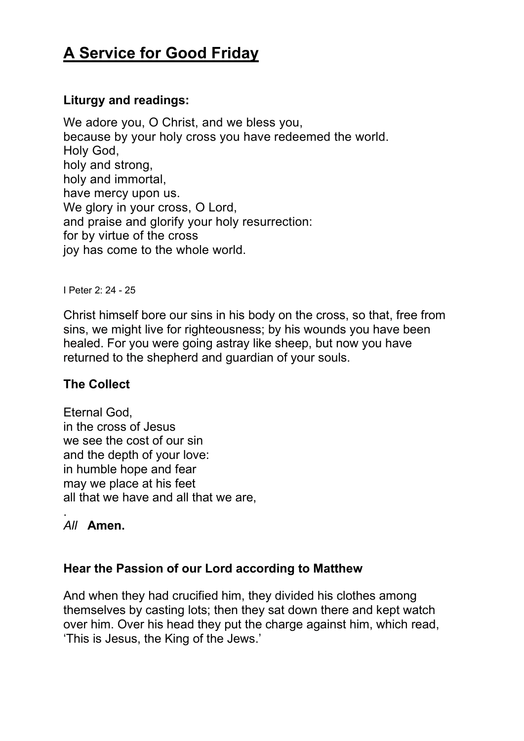# **A Service for Good Friday**

# **Liturgy and readings:**

We adore you, O Christ, and we bless you, because by your holy cross you have redeemed the world. Holy God, holy and strong, holy and immortal, have mercy upon us. We glory in your cross, O Lord, and praise and glorify your holy resurrection: for by virtue of the cross joy has come to the whole world.

I Peter 2: 24 - 25

Christ himself bore our sins in his body on the cross, so that, free from sins, we might live for righteousness; by his wounds you have been healed. For you were going astray like sheep, but now you have returned to the shepherd and guardian of your souls.

## **The Collect**

Eternal God, in the cross of Jesus we see the cost of our sin and the depth of your love: in humble hope and fear may we place at his feet all that we have and all that we are,

#### . *All* **Amen.**

## **Hear the Passion of our Lord according to Matthew**

And when they had crucified him, they divided his clothes among themselves by casting lots; then they sat down there and kept watch over him. Over his head they put the charge against him, which read, 'This is Jesus, the King of the Jews.'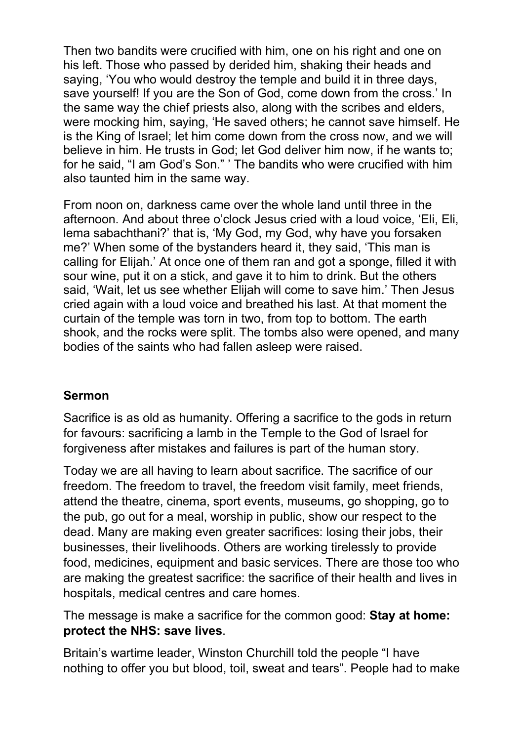Then two bandits were crucified with him, one on his right and one on his left. Those who passed by derided him, shaking their heads and saying, 'You who would destroy the temple and build it in three days, save yourself! If you are the Son of God, come down from the cross.' In the same way the chief priests also, along with the scribes and elders, were mocking him, saying, 'He saved others; he cannot save himself. He is the King of Israel; let him come down from the cross now, and we will believe in him. He trusts in God; let God deliver him now, if he wants to; for he said, "I am God's Son." ' The bandits who were crucified with him also taunted him in the same way.

From noon on, darkness came over the whole land until three in the afternoon. And about three o'clock Jesus cried with a loud voice, 'Eli, Eli, lema sabachthani?' that is, 'My God, my God, why have you forsaken me?' When some of the bystanders heard it, they said, 'This man is calling for Elijah.' At once one of them ran and got a sponge, filled it with sour wine, put it on a stick, and gave it to him to drink. But the others said, 'Wait, let us see whether Elijah will come to save him.' Then Jesus cried again with a loud voice and breathed his last. At that moment the curtain of the temple was torn in two, from top to bottom. The earth shook, and the rocks were split. The tombs also were opened, and many bodies of the saints who had fallen asleep were raised.

## **Sermon**

Sacrifice is as old as humanity. Offering a sacrifice to the gods in return for favours: sacrificing a lamb in the Temple to the God of Israel for forgiveness after mistakes and failures is part of the human story.

Today we are all having to learn about sacrifice. The sacrifice of our freedom. The freedom to travel, the freedom visit family, meet friends, attend the theatre, cinema, sport events, museums, go shopping, go to the pub, go out for a meal, worship in public, show our respect to the dead. Many are making even greater sacrifices: losing their jobs, their businesses, their livelihoods. Others are working tirelessly to provide food, medicines, equipment and basic services. There are those too who are making the greatest sacrifice: the sacrifice of their health and lives in hospitals, medical centres and care homes.

The message is make a sacrifice for the common good: **Stay at home: protect the NHS: save lives**.

Britain's wartime leader, Winston Churchill told the people "I have nothing to offer you but blood, toil, sweat and tears". People had to make